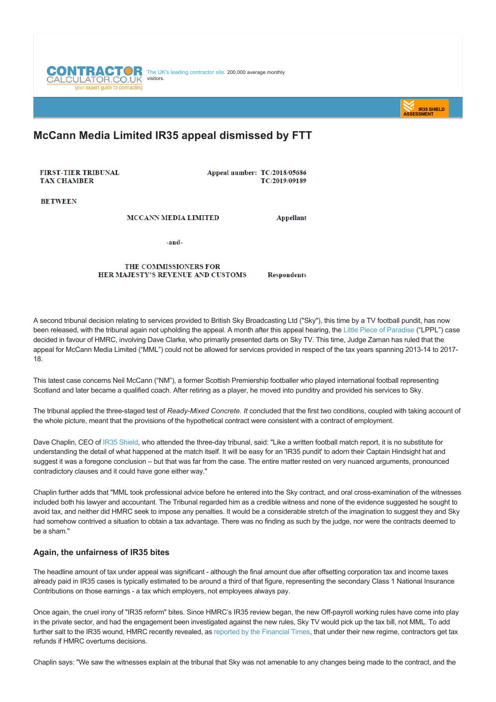



# **McCann Media Limited IR35 appeal dismissed by FTT**

FIRST-TIER TRIBUNAL **TAX CHAMBER** 

Appeal number: TC/2018/05686 TC/2019/09189

**RETWEEN** 

**MCCANN MEDIA LIMITED** 

**Appellant** 

-and-

#### THE COMMISSIONERS FOR HER MAJESTY'S REVENUE AND CUSTOMS **Respondents**

A second tribunal decision relating to services provided to British Sky Broadcasting Ltd ("Sky"), this time by a TV football pundit, has now been released, with the tribunal again not upholding the appeal. A month after this appeal hearing, the [Little Piece of Paradise](https://www.contractorcalculator.co.uk/tax_tribunal_dismisses_ir35_appeal_565210_news.aspx) ("LPPL") case decided in favour of HMRC, involving Dave Clarke, who primarily presented darts on Sky TV. This time, Judge Zaman has ruled that the appeal for McCann Media Limited ("MML") could not be allowed for services provided in respect of the tax years spanning 2013-14 to 2017-18.

This latest case concerns Neil McCann ("NM"), a former Scottish Premiership footballer who played international football representing Scotland and later became a qualified coach. After retiring as a player, he moved into punditry and provided his services to Sky.

The tribunal applied the three-staged test of *Ready-Mixed Concrete. It* concluded that the first two conditions, coupled with taking account of the whole picture, meant that the provisions of the hypothetical contract were consistent with a contract of employment.

Dave Chaplin, CEO of [IR35 Shield,](https://www.ir35shield.co.uk) who attended the three-day tribunal, said: "Like a written football match report, it is no substitute for understanding the detail of what happened at the match itself. It will be easy for an 'IR35 pundit' to adorn their Captain Hindsight hat and suggest it was a foregone conclusion – but that was far from the case. The entire matter rested on very nuanced arguments, pronounced contradictory clauses and it could have gone either way."

Chaplin further adds that "MML took professional advice before he entered into the Sky contract, and oral cross-examination of the witnesses included both his lawyer and accountant. The Tribunal regarded him as a credible witness and none of the evidence suggested he sought to avoid tax, and neither did HMRC seek to impose any penalties. It would be a considerable stretch of the imagination to suggest they and Sky had somehow contrived a situation to obtain a tax advantage. There was no finding as such by the judge, nor were the contracts deemed to be a sham."

#### **Again, the unfairness of IR35 bites**

The headline amount of tax under appeal was significant - although the final amount due after offsetting corporation tax and income taxes already paid in IR35 cases is typically estimated to be around a third of that figure, representing the secondary Class 1 National Insurance Contributions on those earnings - a tax which employers, not employees always pay.

Once again, the cruel irony of "IR35 reform" bites. Since HMRC's IR35 review began, the new Off-payroll working rules have come into play in the private sector, and had the engagement been investigated against the new rules, Sky TV would pick up the tax bill, not MML. To add further salt to the IR35 wound, HMRC recently revealed, as [reported by the Financial Times,](https://www.ft.com/content/4538f628-ae31-455c-9d98-0b386c8bc1ae) that under their new regime, contractors get tax refunds if HMRC overturns decisions.

Chaplin says: "We saw the witnesses explain at the tribunal that Sky was not amenable to any changes being made to the contract, and the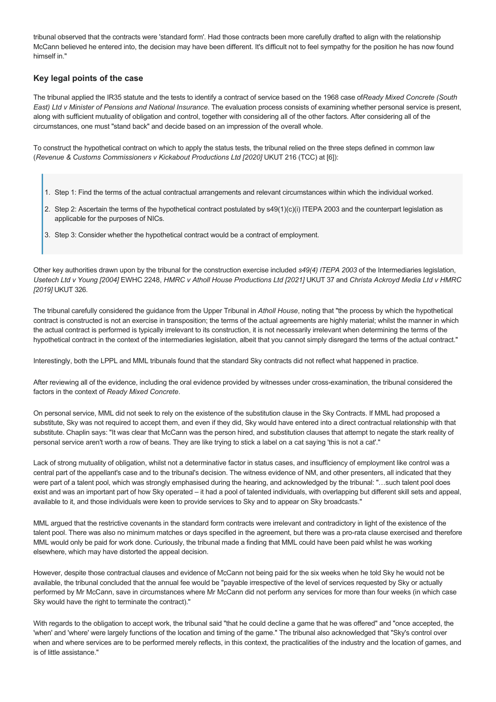tribunal observed that the contracts were 'standard form'. Had those contracts been more carefully drafted to align with the relationship McCann believed he entered into, the decision may have been different. It's difficult not to feel sympathy for the position he has now found himself in."

## **Key legal points of the case**

The tribunal applied the IR35 statute and the tests to identify a contract of service based on the 1968 case of*Ready Mixed Concrete (South East) Ltd v Minister of Pensions and National Insurance*. The evaluation process consists of examining whether personal service is present, along with sufficient mutuality of obligation and control, together with considering all of the other factors. After considering all of the circumstances, one must "stand back" and decide based on an impression of the overall whole.

To construct the hypothetical contract on which to apply the status tests, the tribunal relied on the three steps defined in common law (*Revenue & Customs Commissioners v Kickabout Productions Ltd [2020]* UKUT 216 (TCC) at [6]):

- 1. Step 1: Find the terms of the actual contractual arrangements and relevant circumstances within which the individual worked.
- 2. Step 2: Ascertain the terms of the hypothetical contract postulated by s49(1)(c)(i) ITEPA 2003 and the counterpart legislation as applicable for the purposes of NICs.
- 3. Step 3: Consider whether the hypothetical contract would be a contract of employment.

Other key authorities drawn upon by the tribunal for the construction exercise included *s49(4) ITEPA 2003* of the Intermediaries legislation, *Usetech Ltd v Young [2004]* EWHC 2248, *HMRC v Atholl House Productions Ltd [2021]* UKUT 37 and *Christa Ackroyd Media Ltd v HMRC [2019]* UKUT 326.

The tribunal carefully considered the guidance from the Upper Tribunal in *Atholl House*, noting that "the process by which the hypothetical contract is constructed is not an exercise in transposition; the terms of the actual agreements are highly material; whilst the manner in which the actual contract is performed is typically irrelevant to its construction, it is not necessarily irrelevant when determining the terms of the hypothetical contract in the context of the intermediaries legislation, albeit that you cannot simply disregard the terms of the actual contract."

Interestingly, both the LPPL and MML tribunals found that the standard Sky contracts did not reflect what happened in practice.

After reviewing all of the evidence, including the oral evidence provided by witnesses under cross-examination, the tribunal considered the factors in the context of *Ready Mixed Concrete*.

On personal service, MML did not seek to rely on the existence of the substitution clause in the Sky Contracts. If MML had proposed a substitute, Sky was not required to accept them, and even if they did, Sky would have entered into a direct contractual relationship with that substitute. Chaplin says: "It was clear that McCann was the person hired, and substitution clauses that attempt to negate the stark reality of personal service aren't worth a row of beans. They are like trying to stick a label on a cat saying 'this is not a cat'."

Lack of strong mutuality of obligation, whilst not a determinative factor in status cases, and insufficiency of employment like control was a central part of the appellant's case and to the tribunal's decision. The witness evidence of NM, and other presenters, all indicated that they were part of a talent pool, which was strongly emphasised during the hearing, and acknowledged by the tribunal: "…such talent pool does exist and was an important part of how Sky operated – it had a pool of talented individuals, with overlapping but different skill sets and appeal, available to it, and those individuals were keen to provide services to Sky and to appear on Sky broadcasts."

MML argued that the restrictive covenants in the standard form contracts were irrelevant and contradictory in light of the existence of the talent pool. There was also no minimum matches or days specified in the agreement, but there was a prorata clause exercised and therefore MML would only be paid for work done. Curiously, the tribunal made a finding that MML could have been paid whilst he was working elsewhere, which may have distorted the appeal decision.

However, despite those contractual clauses and evidence of McCann not being paid for the six weeks when he told Sky he would not be available, the tribunal concluded that the annual fee would be "payable irrespective of the level of services requested by Sky or actually performed by Mr McCann, save in circumstances where Mr McCann did not perform any services for more than four weeks (in which case Sky would have the right to terminate the contract)."

With regards to the obligation to accept work, the tribunal said "that he could decline a game that he was offered" and "once accepted, the 'when' and 'where' were largely functions of the location and timing of the game." The tribunal also acknowledged that "Sky's control over when and where services are to be performed merely reflects, in this context, the practicalities of the industry and the location of games, and is of little assistance."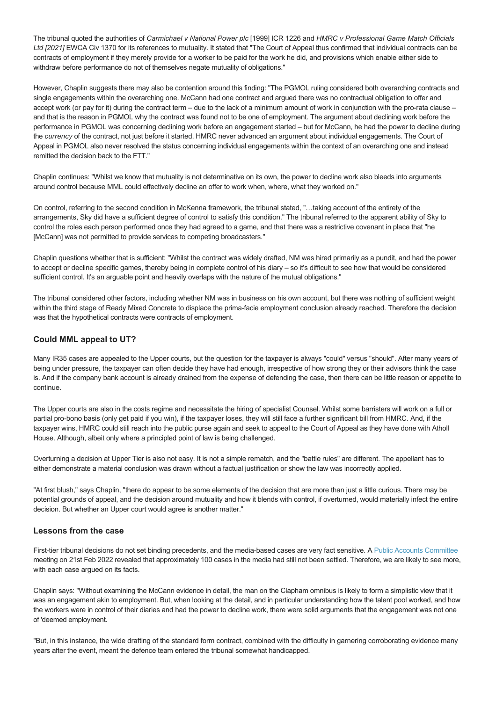The tribunal quoted the authorities of *Carmichael v National Power plc* [1999] ICR 1226 and *HMRC v Professional Game Match Officials Ltd [2021]* EWCA Civ 1370 for its references to mutuality. It stated that "The Court of Appeal thus confirmed that individual contracts can be contracts of employment if they merely provide for a worker to be paid for the work he did, and provisions which enable either side to withdraw before performance do not of themselves negate mutuality of obligations."

However, Chaplin suggests there may also be contention around this finding: "The PGMOL ruling considered both overarching contracts and single engagements within the overarching one. McCann had one contract and argued there was no contractual obligation to offer and accept work (or pay for it) during the contract term – due to the lack of a minimum amount of work in conjunction with the pro-rata clause – and that is the reason in PGMOL why the contract was found not to be one of employment. The argument about declining work before the performance in PGMOL was concerning declining work before an engagement started – but for McCann, he had the power to decline during the *currency* of the contract, not just before it started. HMRC never advanced an argument about individual engagements. The Court of Appeal in PGMOL also never resolved the status concerning individual engagements within the context of an overarching one and instead remitted the decision back to the FTT."

Chaplin continues: "Whilst we know that mutuality is not determinative on its own, the power to decline work also bleeds into arguments around control because MML could effectively decline an offer to work when, where, what they worked on."

On control, referring to the second condition in McKenna framework, the tribunal stated, "…taking account of the entirety of the arrangements, Sky did have a sufficient degree of control to satisfy this condition." The tribunal referred to the apparent ability of Sky to control the roles each person performed once they had agreed to a game, and that there was a restrictive covenant in place that "he [McCann] was not permitted to provide services to competing broadcasters."

Chaplin questions whether that is sufficient: "Whilst the contract was widely drafted, NM was hired primarily as a pundit, and had the power to accept or decline specific games, thereby being in complete control of his diary – so it's difficult to see how that would be considered sufficient control. It's an arguable point and heavily overlaps with the nature of the mutual obligations."

The tribunal considered other factors, including whether NM was in business on his own account, but there was nothing of sufficient weight within the third stage of Ready Mixed Concrete to displace the prima-facie employment conclusion already reached. Therefore the decision was that the hypothetical contracts were contracts of employment.

### **Could MML appeal to UT?**

Many IR35 cases are appealed to the Upper courts, but the question for the taxpayer is always "could" versus "should". After many years of being under pressure, the taxpayer can often decide they have had enough, irrespective of how strong they or their advisors think the case is. And if the company bank account is already drained from the expense of defending the case, then there can be little reason or appetite to continue.

The Upper courts are also in the costs regime and necessitate the hiring of specialist Counsel. Whilst some barristers will work on a full or partial pro-bono basis (only get paid if you win), if the taxpayer loses, they will still face a further significant bill from HMRC. And, if the taxpayer wins, HMRC could still reach into the public purse again and seek to appeal to the Court of Appeal as they have done with Atholl House. Although, albeit only where a principled point of law is being challenged.

Overturning a decision at Upper Tier is also not easy. It is not a simple rematch, and the "battle rules" are different. The appellant has to either demonstrate a material conclusion was drawn without a factual justification or show the law was incorrectly applied.

"At first blush," says Chaplin, "there do appear to be some elements of the decision that are more than just a little curious. There may be potential grounds of appeal, and the decision around mutuality and how it blends with control, if overturned, would materially infect the entire decision. But whether an Upper court would agree is another matter."

#### **Lessons from the case**

First-tier tribunal decisions do not set binding precedents, and the media-based cases are very fact sensitive. A [Public Accounts Committee](https://committees.parliament.uk/committee/127/public-accounts-committee/) meeting on 21st Feb 2022 revealed that approximately 100 cases in the media had still not been settled. Therefore, we are likely to see more, with each case argued on its facts.

Chaplin says: "Without examining the McCann evidence in detail, the man on the Clapham omnibus is likely to form a simplistic view that it was an engagement akin to employment. But, when looking at the detail, and in particular understanding how the talent pool worked, and how the workers were in control of their diaries and had the power to decline work, there were solid arguments that the engagement was not one of 'deemed employment.

"But, in this instance, the wide drafting of the standard form contract, combined with the difficulty in garnering corroborating evidence many years after the event, meant the defence team entered the tribunal somewhat handicapped.